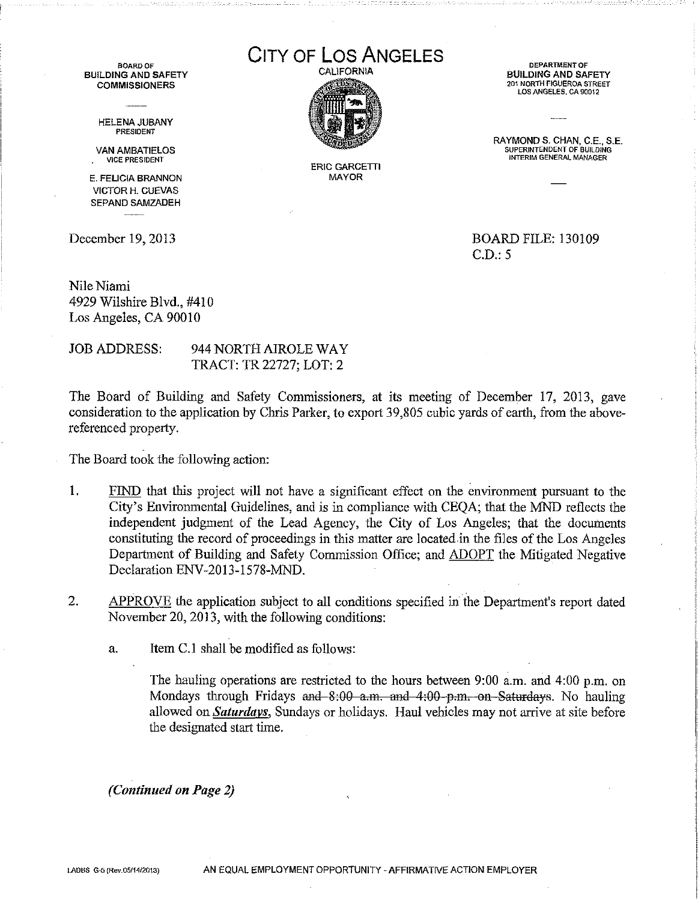BUILDING AND SAFETY COMMISSIONERS

> HELENA JUBANY PRESIDENT

VAN AMBATIELOS<br>VICE PRESIDENT

E. FELICIA BRANNON VICTOR H. CUEVAS SEPAND SAMZADEH

BOARD OF **COS ANGELES** 



ERIC GARCETT1 MAYOR

BUILDING AND SAFETY 201 NORTH FIGUEROA STREET LOS ANGELES, CA 90012

RAYMOND S. CHAN, C.E., S.E. **INTERIM GENERAL MANAGER** 

December 19, 2013 BOARD FILE: 130109 C.D.: 5

Nile Niami 4929 Wilshire Blvd., #410 Los Angeles, CA 90010

JOB ADDRESS: 944 NORTH AIROLE WAY TRACT: TR 22727; LOT: 2

The Board of Building and Safety Commissioners, at its meeting of December 17, 2013, gave consideration to the application by Chris Parker, to export 39,805 cubic yards of earth, from the abovereferenced property.

The Board took the following action:

- 1. FIND that this project will not have a significant effect on the environment pursuant to the City's Environmental Guidelines, and is in compliance with CEQA; that the MND reflects the independent judgment of the Lead Agency, the City of Los Angeles; that the documents constituting the record of proceedings in this matter are located in the files of the Los Angeles Department of Building and Safety Commission Office; and ADOPT the Mitigated Negative Declaration ENV-2013-1578-MND.
- 2. APPROVE the application subject to all conditions specified in the Department's report dated November 20, 2013, with the following conditions:
	- a. Item C.l shall be modified as follows:

The hauling operations are restricted to the hours between 9:00 a.m. and 4:00 p.m. on Mondays through Fridays and  $8:00$  a.m. and  $4:00$  p.m. on Saturdays. No hauling allowed on *Saturdays*, Sundays or holidays. Haul vehicles may not arrive at site before the designated start time.

*(Continued on Page 2)*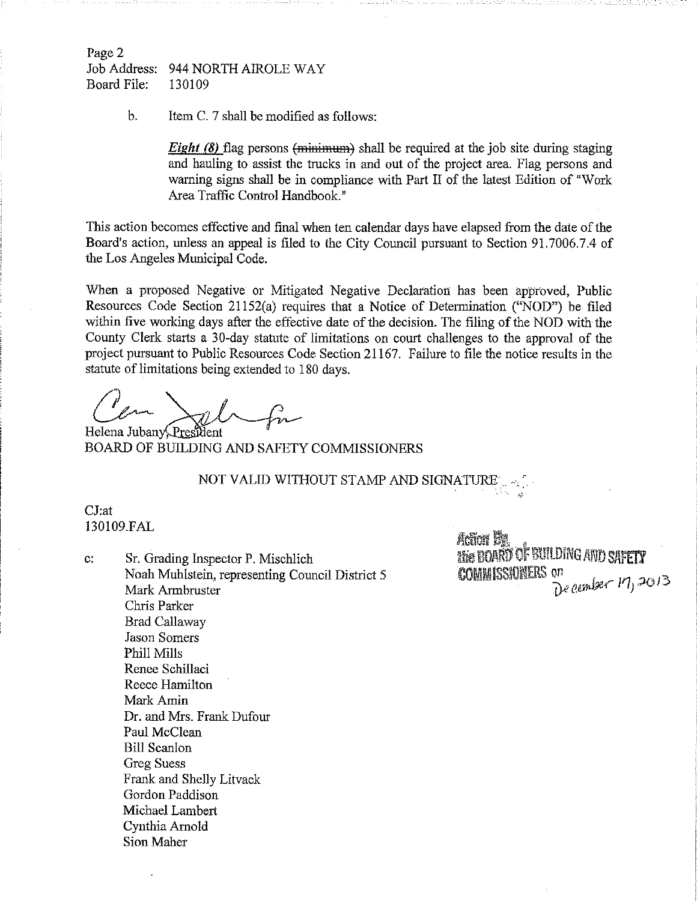Page 2 Job Address: 944 NORTH AIROLE WAY Board File: 130109

b. Item C. 7 shall be modified as follows:

*Eight* (8) flag persons (minimum) shall be required at the job site during staging and hauling to assist the trucks in and out of the project area. Flag persons and warning signs shall be in compliance with Part II of the latest Edition of "Work Area Traffic Control Handbook."

This action becomes effective and final when ten calendar days have elapsed from the date of the Board's action, unless an appeal is filed to the City Council pursuant to Section 91.7006.7.4 of the Los Angeles Municipal Code.

When a proposed Negative or Mitigated Negative Declaration has been approved, Public Resources Code Section 21152(a) requires that a Notice of Determination ("NOD") be filed within five working days after the effective date of the decision. The filing of the NOD with the County Clerk starts a 30-day statute of limitations on court challenges to the approval of the project pursuant to Public Resources Code Section 21167. Failure to file the notice results in the statute of limitations being extended to 180 days.

 $-$ fm

Helena Jubany President BOARD OF BUILDING AND SAFETY COMMISSIONERS

# NOT VALID WITHOUT STAMP AND SIGNATURE  $_{\rm{1.4\%}}$

## CJ:at 130109.FAL

c: Sr. Grading Inspector P. Mischlich Noah Muhlstein, representing Council District 5 Mark Armbruster Chris Parker Brad Callaway Jason Somers Phill Mills Renee Schillaci Reece Hamilton Mark Amin Dr. and Mrs. Frank Dufour Paul McClean Bill Scanlon Greg Suess Frank and Shelly Litvack Gordon Paddison Michael Lambert Cynthia Arnold Sion Maher

Action St **The BOARD OF BUILDING AND SAFETY**<br>COMMISSIONERS on<br> $\sum_{n=0}^{\infty}$  ember 17, 2013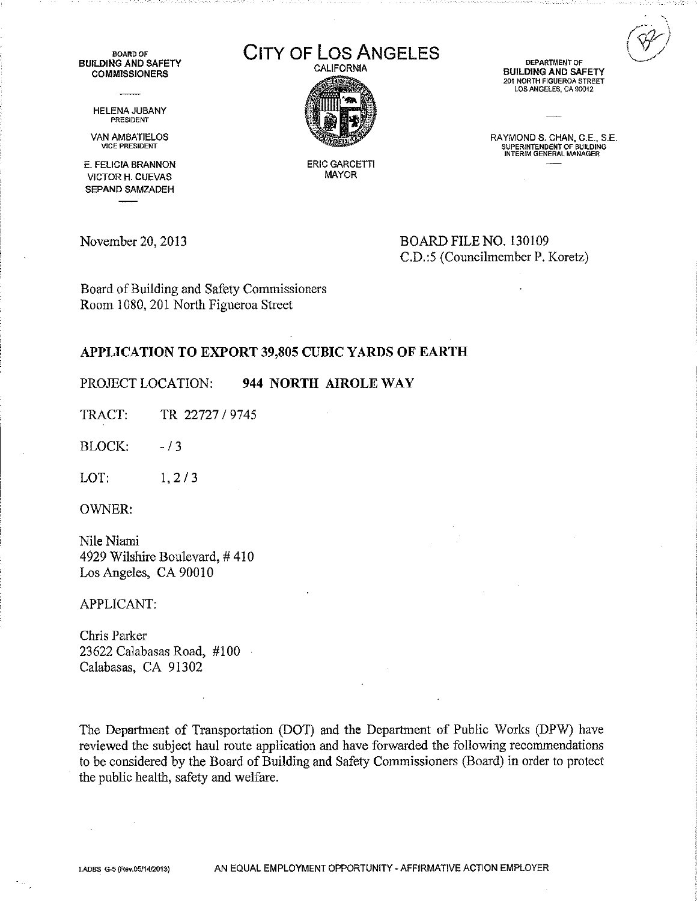BOARD OF BUILDING AND SAFETY **COMMISSIONERS** 

> HELENA JUBANY PRESIDENT

VAN AMBATIELOS VICE PRESIDENT

E. FELICIA BRANNON VICTOR H. CUEVAS SEPAND SAMZADEH

# CITY OF LOS ANGELES



DEPARTMENT OF BUILDING AND SAFETY 201 NORTH FIGUEROA STREET LOS ANGELES, CA 90012

RAYMOND S. CHAN, C.E., S.E, SUPERINTENDENT OF BUILDING INTERIM GENERAL MANAGER

ERIC GARCETT! MAYOR

November 20, 2013 BOARD FILE NO. 130109 C.D.:5 (Councilmember P. Koretz)

Board ofBuilding and Safety Commissioners Room 1080,201 North Figueroa Street

### APPLICATION TO EXPORT 39,805 CUBIC YARDS OF EARTH

PROJECT LOCATION: 944 NORTH AIROLE WAY

TRACT: TR 22727 / 9745

 $BLOCK:$   $-13$ 

LOT: 1, 2/3

OWNER:

Nile Niami 4929 Wilshire Boulevard, #410 Los Angeles, CA 90010

APPLICANT:

Chris Parker 23622 Calabasas Road, #100 Calabasas, CA 91302

The Department of Transportation (DOT) and the Department of Public Works (DPW) have reviewed the subject haul route application and have forwarded the following recommendations to be considered by the Board of Building and Safety Commissioners (Board) in order to protect the public health, safety and welfare.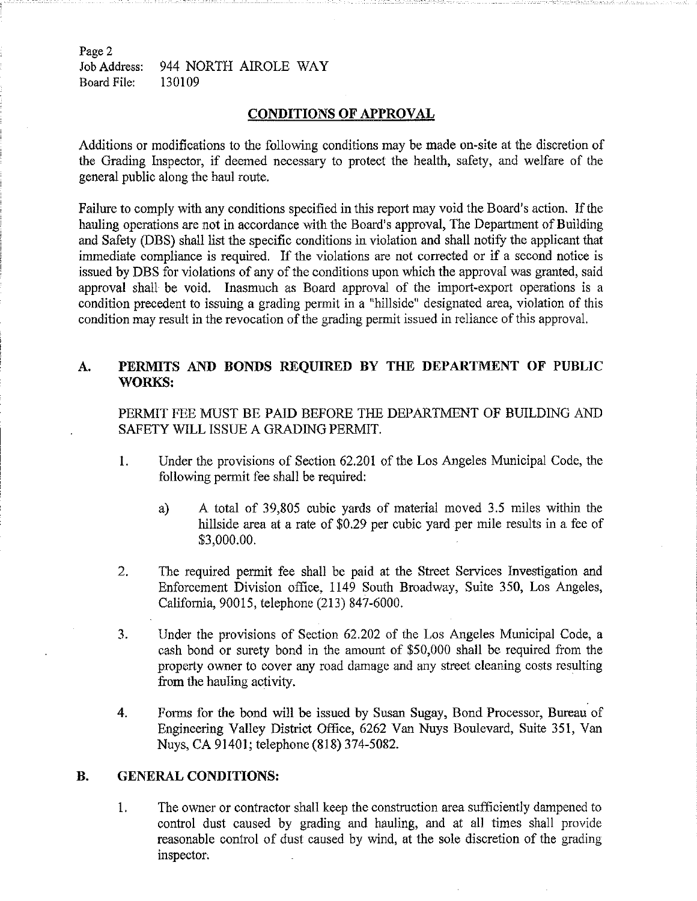Page 2 Job Address: 944 NORTH AIROLE WAY Board File: 130109

#### **CONDITIONS OF APPROVAL**

Additions or modifications to the following conditions may be made on-site at the discretion of the Grading Inspector, if deemed necessary to protect the health, safety, and welfare of the general public along the haul route.

Failure to comply with any conditions specified in this report may void the Board's action. Ifthe hauling operations are not in accordance with the Board's approval, The Department of Building and Safety (DBS) shall list the specific conditions in violation and shall notify the applicant that immediate compliance is required. If the violations are not corrected or if a second notice is issued by DBS for violations of any of the conditions upon which the approval was granted, said approval shall be void. Inasmuch as Board approval of the import-export operations is a condition precedent to issuing a grading permit in a "hillside" designated area, violation of this condition may result in the revocation of the grading permit issued in reliance of this approval.

# **A. PERMITS AND BONDS REQUIRED BY THE DEPARTMENT OF PUBLIC WORKS:**

PERMIT FEE MUST BE PAID BEFORE THE DEPARTMENT OF BUILDING AND SAFETY WILL ISSUE A GRADING PERMIT.

- 1. Under the provisions of Section 62.201 of the Los Angeles Municipal Code, the following permit fee shall be required:
	- a) A total of 39,805 cubic yards of material moved 3.5 miles within the hillside area at a rate of \$0.29 per cubic yard per mile results in a fee of \$3,000.00.
- 2. The required permit fee shall be paid at the Street Services Investigation and Enforcement Division office, 1149 South Broadway, Suite 350, Los Angeles, California, 90015, telephone (213) 847-6000.
- 3. Under the provisions of Section 62.202 of the Los Angeles Municipal Code, a cash bond or surety bond in the amount of \$50,000 shall be required from the property owner to cover any road damage and any street cleaning costs resulting from the hauling activity.
- 4. Forms for the bond will be issued by Susan Sugay, Bond Processor, Bureau of Engineering Valley District Office, 6262 Van Nuys Boulevard, Suite 351, Van Nuys, CA 91401; telephone (818) 374-5082.

#### **B. GENERAL CONDITIONS:**

1. The owner or contractor shall keep the construction area sufficiently dampened to control dust caused by grading and hauling, and at all times shall provide reasonable control of dust caused by wind, at the sole discretion of the grading inspector. .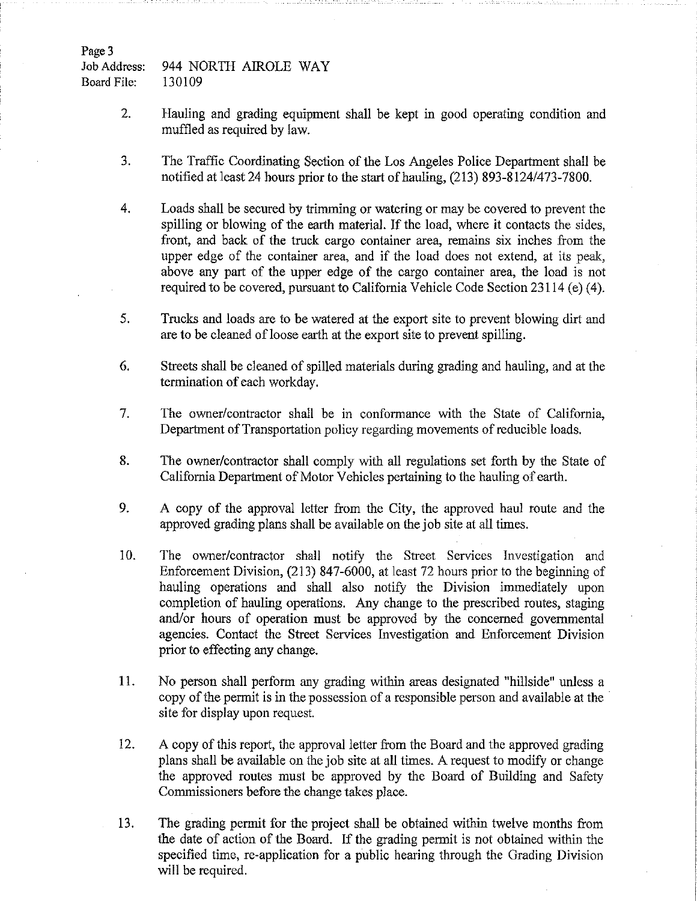Page 3

Job Address: Board File: 944 NORTH AIROLE WAY 130109

- 2**.** Hauling and grading equipment shall be kept in good operating condition and muffled as required by law.
- 3. The Traffic Coordinating Section of the Los Angeles Police Department shall be notified at least 24 hours prior to the start of hauling, (213) 893-8124/473-7800.
- 4. Loads shall be secured by trimming or watering or may be covered to prevent the spilling or blowing of the earth material. If the load, where it contacts the sides, front, and back of the truck cargo container area, remains six inches from the upper edge of the container area, and if the load does not extend, at its peak, above any part of the upper edge of the cargo container area, the load is not required to be covered, pursuant to California Vehicle Code Section 23114 (e) (4).
- 5. Trucks and loads are to be watered at the export site to prevent blowing dirt and are to be cleaned of loose earth at the export site to prevent spilling.
- 6. Streets shall be cleaned of spilled materials during grading and hauling, and at the termination of each workday.
- 7. The owner/contractor shall be in conformance with the State of California, Department of Transportation policy regarding movements of reducible loads.
- 8**.** The owner/contractor shall comply with all regulations set forth by the State of California Department of Motor Vehicles pertaining to the hauling of earth.
- 9. A copy of the approval letter from the City, the approved haul route and the approved grading plans shall be available on the job site at all times.
- 10**.** The owner/contractor shall notify the Street Services Investigation and Enforcement Division, (213) 847-6000, at least 72 hours prior to the beginning of hauling operations and shall also notify the Division immediately upon completion of hauling operations. Any change to the prescribed routes, staging and/or hours of operation must be approved by the concerned governmental agencies. Contact the Street Services Investigation and Enforcement Division prior to effecting any change.
- **11.** No person shall perform any grading within areas designated "hillside" unless a copy of the permit is in the possession of a responsible person and available at the site for display upon request.
- 12**.** A copy of this report, the approval letter from the Board and the approved grading plans shall be available on the job site at all times. A request to modify or change the approved routes must be approved by the Board of Building and Safety Commissioners before the change takes place.
- 13. The grading permit for the project shall be obtained within twelve months from the date of action of the Board. If the grading permit is not obtained within the specified time, re-application for a public hearing through the Grading Division will be required.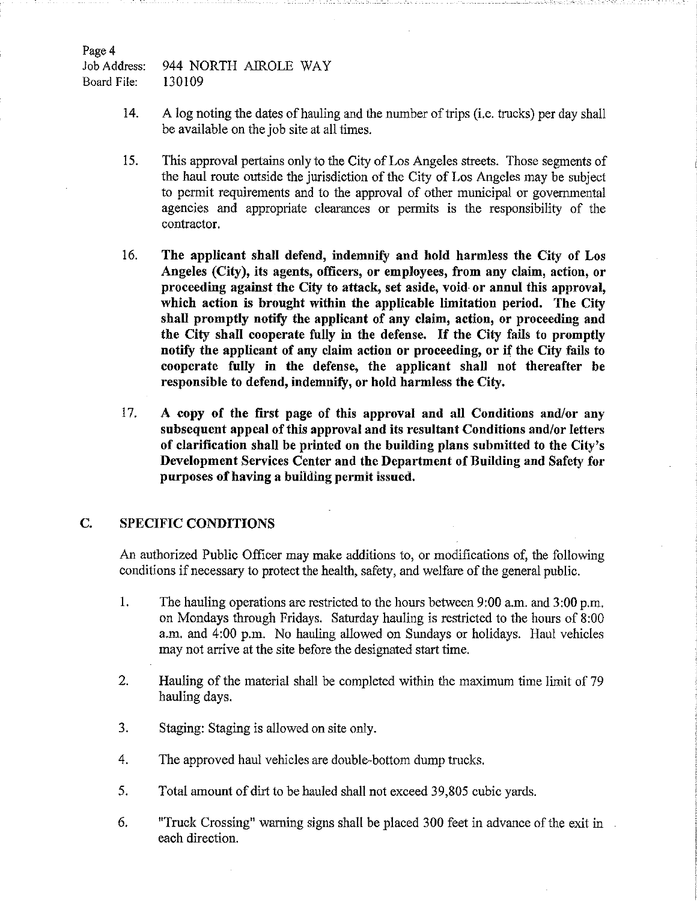Job Address: 944 NORTH AIROLE WAY Board File: 130109

- 14. A log noting the dates of hauling and the number of trips (i.e. trucks) per day shall be available on the job site at all times.
- 15. This approval pertains only to the City of Los Angeles streets. Those segments of the haul route outside the jurisdiction of the City of Los Angeles may be subject to permit requirements and to the approval of other municipal or governmental agencies and appropriate clearances or permits is the responsibility of the contractor.
- 16. **The applicant shall defend, indemnify and hold harmless the City of Los Angeles (City), its agents, officers, or employees, from any claim, action, or proceeding against the City to attack, set aside, void or annul this approval, which action is brought within the applicable limitation period. The City shall promptly notify the applicant of any claim, action, or proceeding and the City shall cooperate fully in the defense. If the City fails to promptly notify the applicant of any claim action or proceeding, or if the City fails to cooperate fully in the defense, the applicant shall not thereafter be responsible to defend, indemnify, or hold harmless the City.**
- 17. **A copy of the first page of this approval and all Conditions and/or any subsequent appeal ofthis approval and its resultant Conditions and/or letters of clarification shall be printed on the building plans submitted to the City's Development Services Center and the Department of Building and Safety for purposes ofhaving a building permit issued.**

### **C. SPECIFIC CONDITIONS**

An authorized Public Officer may make additions to, or modifications of, the following conditions if necessary to protect the health, safety, and welfare of the general public.

- 1. The hauling operations are restricted to the hours between 9:00 a.m. and 3:00 p.m. on Mondays through Fridays. Saturday hauling is restricted to the hours of 8:00 a.m. and 4:00 p.m. No hauling allowed on Sundays or holidays. Haul vehicles may not arrive at the site before the designated start time.
- 2. Hauling of the material shall be completed within the maximum time limit of 79 hauling days.
- 3. Staging: Staging is allowed on site only.
- 4. The approved haul vehicles are double-bottom dump trucks.
- 5. Total amount of dirt to be hauled shall not exceed 39,805 cubic yards.
- 6. "Truck Crossing" warning signs shall be placed 300 feet in advance of the exit in each direction.

Page 4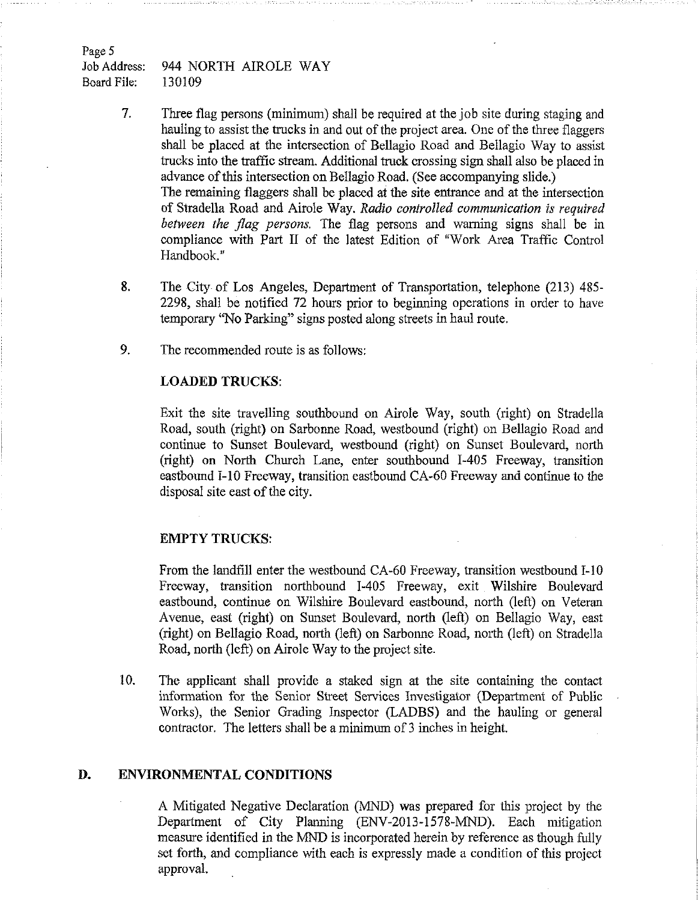Job Address: 944 NORTH AIROLE WAY Board File: 130109

> 7. Three flag persons (minimum) shall be required at the job site during staging and hauling to assist the trucks in and out of the project area. One of the three flaggers shall be placed at the intersection of Bellagio Road and Bellagio Way to assist trucks into the traffic stream. Additional truck crossing sign shall also be placed in advance of this intersection on Bellagio Road. (See accompanying slide.) The remaining flaggers shall be placed at the site entrance and at the intersection of Stradella Road and Airole Way. *Radio controlled communication is required between the flag persons.* The flag persons and warning signs shall be in compliance with Part II of the latest Edition of "Work Area Traffic Control Handbook."

- 8. The City of Los Angeles, Department of Transportation, telephone (213) 485 2298, shall be notified 72 hours prior to beginning operations in order to have temporary "No Parking" signs posted along streets in haul route.
- 9. The recommended route is as follows:

### **LOADED TRUCKS:**

Exit the site travelling southbound on Airole Way, south (right) on Stradella Road, south (right) on Sarbonne Road, westbound (right) on Bellagio Road and continue to Sunset Boulevard, westbound (right) on Sunset Boulevard, north (right) on North Church Lane, enter southbound 1-405 Freeway, transition eastbound 1-10 Freeway, transition eastbound CA-60 Freeway and continue to the disposal site east of the city.

#### **EMPTY TRUCKS:**

From the landfill enter the westbound CA-60 Freeway, transition westbound I-10 Freeway, transition northbound 1-405 Freeway, exit Wilshire Boulevard eastbound, continue on Wilshire Boulevard eastbound, north (left) on Veteran Avenue, east (right) on Sunset Boulevard, north (left) on Bellagio Way, east (right) on Bellagio Road, north (left) on Sarbonne Road, north (left) on Stradella Road, north (left) on Airole Way to the project site.

10. The applicant shall provide a staked sign at the site containing the contact information fox the Senior Street Services Investigator (Department of Public Works), the Senior Grading Inspector (LADBS) and the hauling or general contractor. The letters shall be a minimum of <sup>3</sup> inches in height.

### **D. ENVIRONMENTAL CONDITIONS**

A Mitigated Negative Declaration (MND) was prepared for this project by the Department of City Planning (ENV-2013-1578-MND). Each mitigation measure identified in the MND is incorporated herein by reference as though fully set forth, and compliance with each is expressly made a condition of this project approval.

Page 5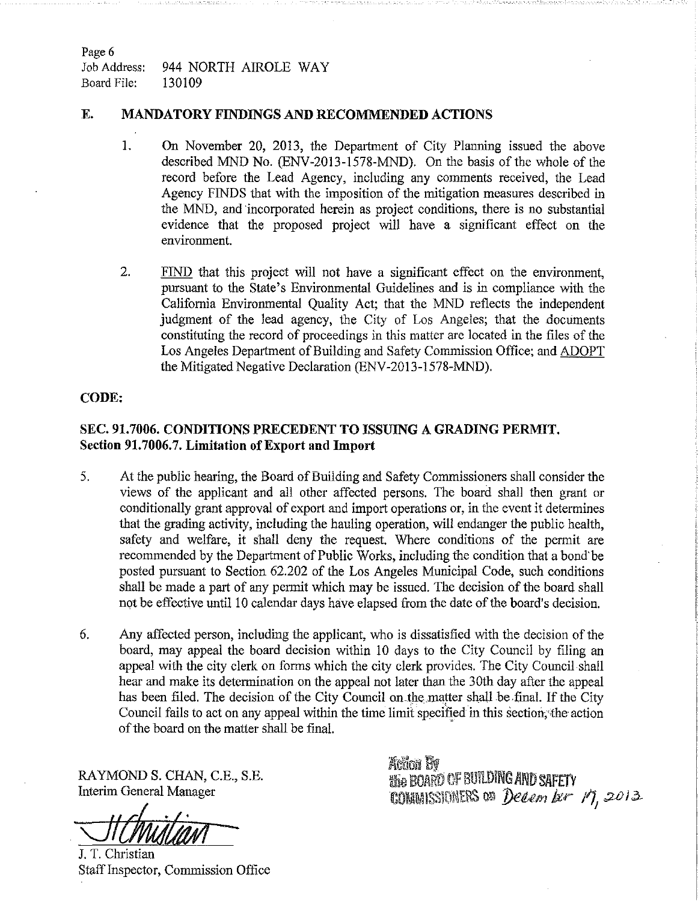Page 6 Job Address: 944 NORTH AIROLE WAY Board File: 130109

### **E. MANDATORY FINDINGS AND RECOMMENDED ACTIONS**

- 1. On November 20, 2013, the Department of City Planning issued the above described MND No. (ENV-2013-1578-MND). On the basis of the whole of the record before the Lead Agency, including any comments received, the Lead Agency FINDS that with the imposition of the mitigation measures described in the MND, and incorporated herein as project conditions, there is no substantial evidence that the proposed project will have a significant effect on the environment.
- 2. FIND that this project will not have a significant effect on the environment, pursuant to the State's Environmental Guidelines and is in compliance with the California Environmental Quality Act; that the MND reflects the independent judgment of the lead agency, the City of Los Angeles; that the documents constituting the record of proceedings in this matter are located in the files of the Los Angeles Department of Building and Safety Commission Office; and ADOPT the Mitigated Negative Declaration (ENV-2013-1578-MND).

### **CODE:**

# **SEC. 91.7006. CONDITIONS PRECEDENT TO ISSUING A GRADING PERMIT, Section 91.7006.7. Limitation ofExport and Import**

- 5. At the public hearing, the Board of Building and Safety Commissioners shall consider the views of the applicant and all other affected persons. The board shall then grant or conditionally grant approval of export and import operations or, in the event it determines that the grading activity, including the hauling operation, will endanger the public health, safety and welfare, it shall deny the request. Where conditions of the permit are recommended by the Department of Public Works, including the condition that a bond'be posted pursuant to Section 62.202 of the Los Angeles Municipal Code, such conditions shall be made a part of any permit which may be issued. The decision of the board shall not be effective until 10 calendar days have elapsed from the date of the board's decision.
- 6. Any affected person, including the applicant, who is dissatisfied with the decision of the board, may appeal the board decision within 10 days to the City Council by filing an appeal with the city clerk on forms which the city clerk provides. The City Council shall hear and make its determination on the appeal not later than the 30th day after the appeal has been filed. The decision of the City Council on the matter shall be-final. If the City Council fails to act on any appeal within the time limit specified in this section,'file action of the board on the matter shall be final.

RAYMOND S. CHAN, C.E., S.E. Interim General Manager

J. T. Christian

Staff Inspector, Commission Office

**Rifes!? Hie BOARD OF BUILDING AND SAFETY** COMMISSIONERS on *December 17, 2013*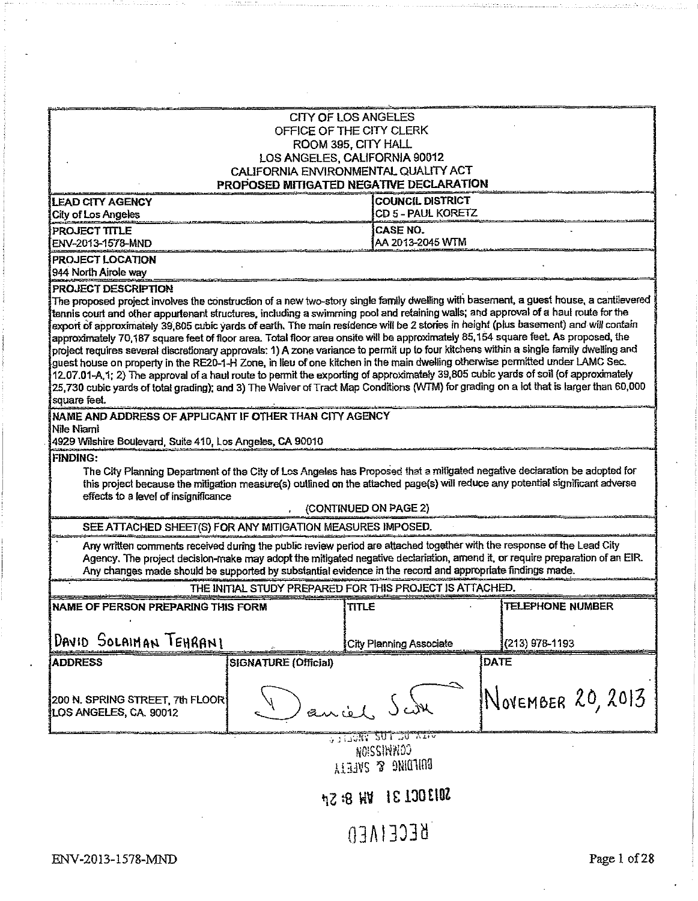|                                                                                                                                                                                                                                                                                                                                                                                                                                                                                                                                                                                                                                                                                                                                                                                                                                                                                                                                                                                                                                                                                                                                                                                                                                                                                                   |                      | <b>CITY OF LOS ANGELES</b><br>OFFICE OF THE CITY CLERK<br>ROOM 395, CITY HALL<br>LOS ANGELES, CALIFORNIA 90012<br>CALIFORNIA ENVIRONMENTAL QUALITY ACT |                   |  |
|---------------------------------------------------------------------------------------------------------------------------------------------------------------------------------------------------------------------------------------------------------------------------------------------------------------------------------------------------------------------------------------------------------------------------------------------------------------------------------------------------------------------------------------------------------------------------------------------------------------------------------------------------------------------------------------------------------------------------------------------------------------------------------------------------------------------------------------------------------------------------------------------------------------------------------------------------------------------------------------------------------------------------------------------------------------------------------------------------------------------------------------------------------------------------------------------------------------------------------------------------------------------------------------------------|----------------------|--------------------------------------------------------------------------------------------------------------------------------------------------------|-------------------|--|
| PROPOSED MITIGATED NEGATIVE DECLARATION<br><b>COUNCIL DISTRICT</b><br><b>LEAD CITY AGENCY</b>                                                                                                                                                                                                                                                                                                                                                                                                                                                                                                                                                                                                                                                                                                                                                                                                                                                                                                                                                                                                                                                                                                                                                                                                     |                      |                                                                                                                                                        |                   |  |
| <b>City of Los Angeles</b>                                                                                                                                                                                                                                                                                                                                                                                                                                                                                                                                                                                                                                                                                                                                                                                                                                                                                                                                                                                                                                                                                                                                                                                                                                                                        |                      | CD 5 - PAUL KORETZ                                                                                                                                     |                   |  |
| PROJECT TITLE<br>ENV-2013-1578-MND                                                                                                                                                                                                                                                                                                                                                                                                                                                                                                                                                                                                                                                                                                                                                                                                                                                                                                                                                                                                                                                                                                                                                                                                                                                                |                      | CASE NO.<br>AA 2013-2045 WTM                                                                                                                           |                   |  |
| PROJECT LOCATION<br>944 North Airole way                                                                                                                                                                                                                                                                                                                                                                                                                                                                                                                                                                                                                                                                                                                                                                                                                                                                                                                                                                                                                                                                                                                                                                                                                                                          |                      |                                                                                                                                                        |                   |  |
| PROJECT DESCRIPTION<br>The proposed project involves the construction of a new two-story single family dwelling with basement, a guest house, a cantilevered<br>tennis court and other appurtenant structures, including a swimming pool and retaining walls; and approval of a haul route for the<br>export of approximately 39,805 cubic yards of earth. The main residence will be 2 stories in height (plus basement) and will contain<br>approximately 70,187 square feet of floor area. Total floor area onsite will be approximately 85,154 square feet. As proposed, the<br>project requires several discretionary approvals: 1) A zone variance to permit up to four kitchens within a single family dwelling and<br>guest house on property in the RE20-1-H Zone, in lieu of one kitchen in the main dwelling otherwise permitted under LAMC Sec.<br>12.07.01-A,1; 2) The approval of a haul route to permit the exporting of approximately 39,805 cubic yards of soil (of approximately<br>25,730 cubic yards of total grading); and 3) The Waiver of Tract Map Conditions (WTM) for grading on a lot that is larger than 60,000<br>square feet.<br>NAME AND ADDRESS OF APPLICANT IF OTHER THAN CITY AGENCY<br>Nile Niaml<br>4929 Wilshire Boulevard, Suite 410, Los Angeles, CA 90010 |                      |                                                                                                                                                        |                   |  |
| <b>FINDING:</b><br>The City Planning Department of the City of Los Angeles has Proposed that a miligated negative declaration be adopted for<br>this project because the mitigation measure(s) outlined on the attached page(s) will reduce any potential significant adverse<br>effects to a level of insignificance                                                                                                                                                                                                                                                                                                                                                                                                                                                                                                                                                                                                                                                                                                                                                                                                                                                                                                                                                                             |                      |                                                                                                                                                        |                   |  |
| (CONTINUED ON PAGE 2)<br>SEE ATTACHED SHEET(S) FOR ANY MITIGATION MEASURES IMPOSED.                                                                                                                                                                                                                                                                                                                                                                                                                                                                                                                                                                                                                                                                                                                                                                                                                                                                                                                                                                                                                                                                                                                                                                                                               |                      |                                                                                                                                                        |                   |  |
| Any written comments received during the public review period are attached together with the response of the Lead City<br>Agency. The project decision-make may adopt the mitigated negative declariation, amend it, or require preparation of an EIR.<br>Any changes made should be supported by substantial evidence in the record and appropriate findings made.                                                                                                                                                                                                                                                                                                                                                                                                                                                                                                                                                                                                                                                                                                                                                                                                                                                                                                                               |                      |                                                                                                                                                        |                   |  |
| THE INITIAL STUDY PREPARED FOR THIS PROJECT IS ATTACHED.                                                                                                                                                                                                                                                                                                                                                                                                                                                                                                                                                                                                                                                                                                                                                                                                                                                                                                                                                                                                                                                                                                                                                                                                                                          |                      |                                                                                                                                                        |                   |  |
| NAME OF PERSON PREPARING THIS FORM                                                                                                                                                                                                                                                                                                                                                                                                                                                                                                                                                                                                                                                                                                                                                                                                                                                                                                                                                                                                                                                                                                                                                                                                                                                                |                      | TITLE                                                                                                                                                  | TELEPHONE NUMBER  |  |
| DAVID SOLAIMAN TEHRANI                                                                                                                                                                                                                                                                                                                                                                                                                                                                                                                                                                                                                                                                                                                                                                                                                                                                                                                                                                                                                                                                                                                                                                                                                                                                            |                      | <b>City Planning Associate</b>                                                                                                                         | (213) 978-1193    |  |
| <b>ADDRESS</b>                                                                                                                                                                                                                                                                                                                                                                                                                                                                                                                                                                                                                                                                                                                                                                                                                                                                                                                                                                                                                                                                                                                                                                                                                                                                                    | SIGNATURE (Official) |                                                                                                                                                        | <b>DATE</b>       |  |
| 200 N. SPRING STREET, 7th FLOOR<br>LOS ANGELES, CA. 90012                                                                                                                                                                                                                                                                                                                                                                                                                                                                                                                                                                                                                                                                                                                                                                                                                                                                                                                                                                                                                                                                                                                                                                                                                                         | ancol                |                                                                                                                                                        | NOVEMBER 20, 2013 |  |
| VALUE SUI DU VIN<br><b>MOISSIMMOO</b><br>BOUTDING & SNEIN                                                                                                                                                                                                                                                                                                                                                                                                                                                                                                                                                                                                                                                                                                                                                                                                                                                                                                                                                                                                                                                                                                                                                                                                                                         |                      |                                                                                                                                                        |                   |  |
| <b>SOI30CL 31 WH 8: 5pt</b>                                                                                                                                                                                                                                                                                                                                                                                                                                                                                                                                                                                                                                                                                                                                                                                                                                                                                                                                                                                                                                                                                                                                                                                                                                                                       |                      |                                                                                                                                                        |                   |  |
|                                                                                                                                                                                                                                                                                                                                                                                                                                                                                                                                                                                                                                                                                                                                                                                                                                                                                                                                                                                                                                                                                                                                                                                                                                                                                                   |                      |                                                                                                                                                        |                   |  |

03**A!**333**<sup>d</sup>**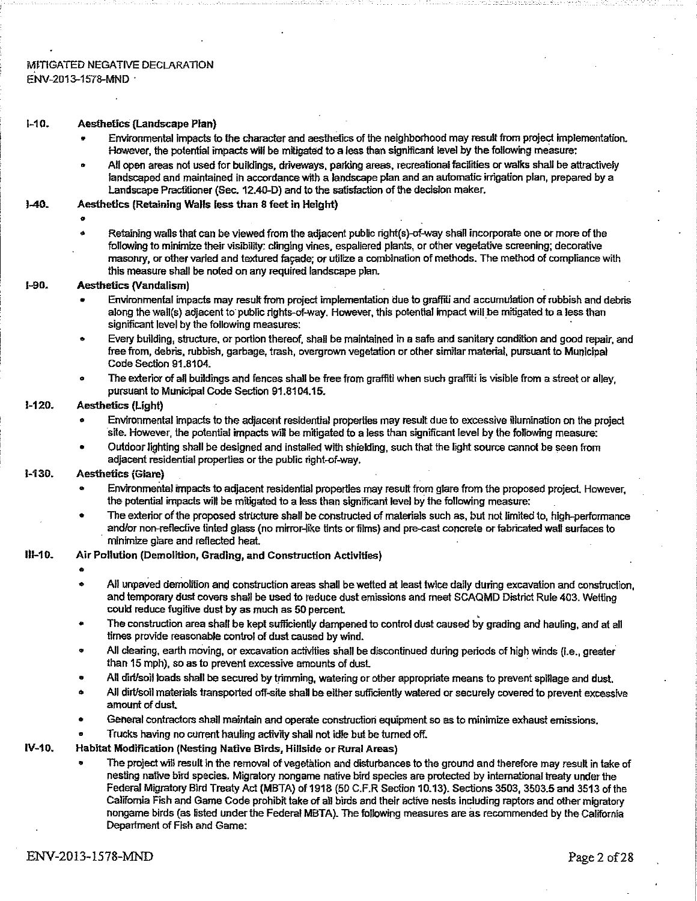#### MITIGATED NEGATIVE DECLARATION ENV-2013-1578-MND •

#### M0. Aesthetics(Landscape Plan)

- Environmental impacts to the character and aesthetics of the neighborhood may result from project implementation. However, the potential impactswill be mitigated to a less than significant level by the following measure:
- AH open areas not used for buildings, driveways, parking areas, recreationalfacilities orwalks shall be attractively landscaped and maintained in accordance with a landscape plan and an automatic Irrigation plan, prepared by a Landscape Practitioner (Sec. 12.40-D) and to the satisfaction of the decision maker.

#### 1-40. Aesthetics (Retaining Walls lessthan 8 feet in Height)

#### *9 .*

Retaining walls that can be viewed from the adjacent public right(s)-of-way shall incorporate one or more of the following to minimize their visibility: clinging vines, espaliered plants, or other vegetative screening; decorative masonry, or other varied and textured fagade; or utilize a combination of methods. The method of compliance with this measure shall be noted on any required landscape plan.

#### 1-90. Aesthetics (Vandalism)

- Environmental impacts may resultfrom project implementation due to graffiti and accumulation ofrubbish and debris along the wail(s) adjacent to public rights-ofway. However, this potential impact will be mitigated to a lessthan significant level by the following measures: '
- Every building, structure, or portion thereof, shall be maintained in a safe and sanitary condition and good repair, and free from, debris, rubbish, garbage, trash, overgrown vegetation or other similar material, pursuant to Municipal Code Section 91.8104.
- The exterior of all buildings and fences shall be free from graffiti when such graffiti is visible from a street or alley, pursuant to Municipal Code Section 91.8104.15.

#### 1-120. Aesthetics (Light)

- Environmental impacts to the adjacent residential properties may result due to excessive illumination on the project site. However, the potential impacts wiB be mitigated to a less than significant level by the following measure:
- Outdoorlighting shall be designed and installed with shielding, such that the light source cannot be seen from adjacent residential properties or the public right-of-way.

#### 1-130. Aesthetics (Glare)

- Environmental impacts to adjacent residential properties may result from glare from the proposed project However, the potential impacts will be mitigated to a less than significant level by the following measure: .
- The exterior of the proposed structure shall be constructed of materials such as, but not limited to, high-performance and/or non-reflective tinted glass (no mirror-like tints or films) and pre-cast concrete or fabricated wall surfaces to minimize glare and reflected heat. .

#### HI-10. Air Pollution (Demolition, Grading, and Construction Activities) •

- 
- Ail unpaved demolition and construction areas shall bewetted at least twice daily during excavation and construction, and temporary dust covers shall be used to reduce dust emissions and meet SCAQMD District Rule 403. Wetting could reduce fugitive dust by as much as 50 percent.
- The construction area shall be kept sufficiently dampened to control dust caused by grading and hauling, and at all times provide reasonable control of dust caused by wind.
- All clearing, earth moving, or excavation activities shall be discontinued during periods of high winds {i.e., greater than 15 mph), so as to prevent excessive amounts of dust.
- Ail dirt/soil loads shall be secured by trimming, watering or other appropriate means to prevent spillage and dust.
- All dirt/soil materials transported off-site shall be either sufficiently watered or securely covered to prevent excessive amount of dust
- General contractors shall maintain and operate construction equipment so asto minimize exhaust emissions.
- Trucks having no current hauling activity shall not idle but be turned off.

#### IV-10. Habitat Modification (Nesting Native Birds, Hillside or Rural Areas)

• The project will result In the removal of vegetation and disturbances to the ground and therefore may result in take of nesting native bird species. Migratory nongame native bird species are protected by international treaty under the Federal Migratory Bird Treaty Act (MBTA) of 1918 (50 C.F.R Section 10.13). Sections 3503, 3503.5 and 3513 of the California Fish and Game Code prohibit take of all birds and their active nests including raptors and othermigratory nongame birds (as listed underthe Federal MBTA). The following measures are as recommended by the California Department of Fish and Game: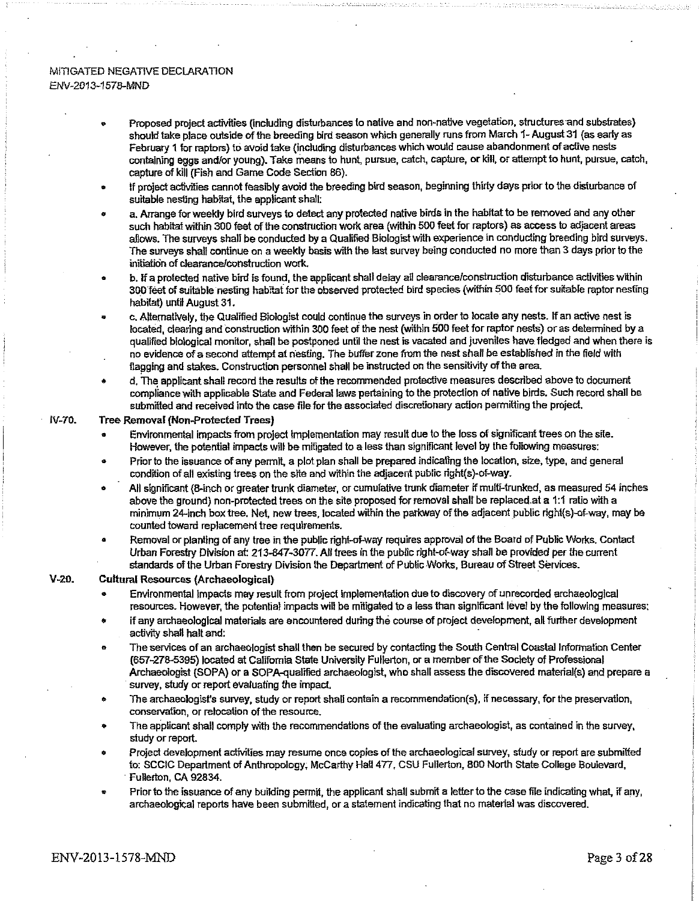#### MITIGATED NEGATIVE DECLARATION *BNV-201*3-1*578-MND*

- Proposed project activities (including disturbances to native and non-native vegetation, structures and substrates) should take place outside of the breeding bird season which generally runs from March 1- August 31 (as early as February 1 for raptors) to avoid take (including disturbances which would cause abandonment of active nests ' containing eggs and/or young). Take means to hunt, pursue, catch, capture, or kill, or attemptto hunt, pursue, catch, capture of kill (Fish and Game Code Section 86).
- If project activities cannot feasibly avoid the breeding bird season, beginning thirty days prior to the disturbance of suitable nesting habitat, the applicant shall:
- a. Arrange for weekly bird surveys to detect any protected native birds in the habitat to be removed and any other such habitat within 300 feet of the construction work area (within 500 feet for raptors) as access to adjacent areas allows. The surveys shall be conducted by a Qualified Biologist with experience in conducting breeding bird surveys. The surveys shall continue on a weekly basis with the last survey being conducted no more than 3 days prior to the initiation of clearance/construction work.
- b. If a protected native bird is found, the applicant shall delay all clearance/construction disturbance activities within 300 feet of suitable nesting habitat for the observed protected bird species (within 500 feet for suitable raptor nesting habitat) until August 31.
- \* c. Alternatively, the Qualified Biologist could continue the surveys in orderto locate any nests. If an active nest is located, clearing and construction within 300 feet of the nest (within 500 feet for raptor nests) or as determined by a qualified biological monitor, shall be postponed until the nest is vacated and juveniles have,fledged and when there is no evidence ofa second attempt at nesting. The buffer zone from the nestshall be established in the field with flagging and stakes. Construction personnel shall be instructed on the sensitivity of the area.
- d. The applicant shall record the results of the recommended protective measures described above to document compliance with applicable State and Federal laws pertaining to the protection of native birds. Such record shall be submitted and received into the case file for the associated discretionary action permitting the project.

#### fV-70. Tree Removal (Non-Protected Trees)

- Environmental impacts from project implementation may result due to the loss of significant trees on the site. However, the potential impacts will be mitigated to a less than significant level by the following measures:
- Prior to the issuance of any permit, a plot plan shall be prepared indicating the location, size, type, and general condition of all existing trees on the site and within the adjacent public right(s)-of-way.
- All significant (8-inch or greater trunk diameter, or cumulative trunk diameter if multi-trunked, as measured 54 inches above the ground) non-protected trees on the site proposed for removal shall be replaced.at a 1:1 ratio with a minimum 24-inch box tree. Net, new trees, located within the parkway ofthe adjacent public right(s)-of-way, may be counted toward replacement tree requirements.
- Removal or planting of any tree in the public right-of-way requires approval of the Board of Public Works. Contact Urban Forestry Division at: 213-847-3077. All trees in the public right-of-way shall be provided per the current standards of the Urban Forestry Division the Department of Public Works, Bureau of Street Services.

#### V-20. Cultural Resources (Archaeological)

- \* Environmental impacts may result from project implementation due to discovery of unrecorded archaeological resources. However, the potential impacts will be mitigated to a less than significant level by the following measures:
- if any archaeological materials are encountered during the course of project development, all further development activity shall halt and:
- » The services of an archaeologistshall then be secured by contacting the South Central Coastal Information Center (657-278-5395) located at California State University Fullerton, or a member ofthe Society of Professional Archaeologist (SOPA) or a SOPA-quairfied archaeologist, who shall assess the discovered materials) and prepare *a* survey, study or report evaluating the impact.
- The archaeologist's survey, study or report shall contain a recommendation(s), if necessary, for the preservation, conservation, or relocation of the resource.
- The applicant shall comply with the recommendations of the evaluating archaeologist, as contained in the survey, study or report.
- Project development activities may resume once copies of the archaeological survey, study or report are submitted to: SCC1C Department of Anthropology, McCarthy Hall 477, CSU Fullerton, 800 North State College Boulevard, Fullerton, CA 92834.
- Prior to the issuance of any building permit, the applicant shall submit a letter to the case file indicating what, if any, archaeological reports have been submitted, or a statement indicating that no material was discovered.

#### ENV-2013-1578-MND Page <sup>3</sup> of28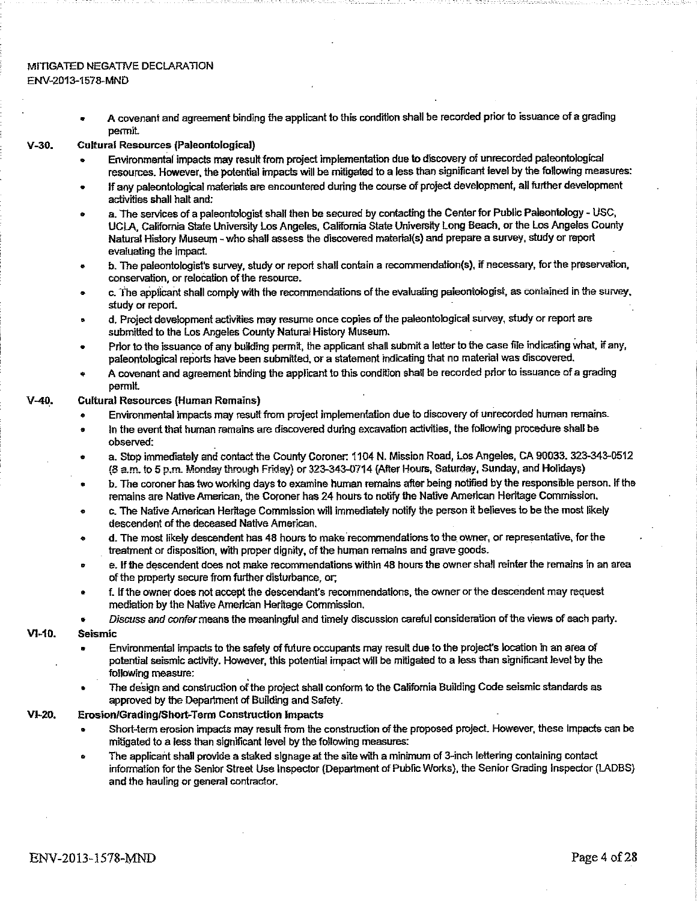#### MITIGATED NEGATIVE DECLARATION ENV-2013-1578-MND

A covenant and agreement binding the applicant to this condition shall be recorded prior to issuance of a grading permit

#### V-30. Cultural Resources (Paleontological)

- Environmental impacts may resultfrom project implementation due to discovery of unrecorded paleontological resources. However, the potential impacts will be mitigated to a less than significant level by the following measures:
- If any paleontological materials are encountered during the course of project development, all further development activities shall halt and:
- a. The services of a paleontologist shall then be secured by contacting the Center for Public Paleontology USC, UCLA, California State University Los Angeles, California State University Long Beach, or the Los Angeles County Natural History Museum - who shall assess the discovered material(s) and prepare a survey, study or report evaluating the impact.
- b. The paleontologist's survey, study or report shall contain a recommendaiion(s), if necessary, for the preservation, conservation, or relocation of the resource.
- c. The applicant shall comply with the recommendations ofthe evaluating paleontologist, as contained in the survey, study or report. .
- ® d. Project development activities may resume once copies of the paleontological survey, study or report are submitted to the Los Angeles County Natural History Museum.
- Prior to the issuance of any building permit, the applicant shall submit a letter to the case file indicating what, if any, paleontological reports have been submitted, or a statement indicating that no material was discovered.
- A covenant and agreement binding the applicant to this condition shall be recorded prior to issuance of a grading permit

#### V-40. Cultural Resources (Human Remains)

- Environmental impacts may result from project implementation due to discovery of unrecorded human remains.
- In the event that human remains are discovered during excavation activities, the following procedure shall be observed:
- a. Stop immediately and contact the County Coroner: 1104 N. Mission Road, Los Angeles, CA 90033. 323-343-0512 (S am. to 5 p.m. Monday through Friday) or 323-343-0714 (After Hours, Saturday, Sunday, and Holidays)
- b. The coroner hastwo working daysto examine human remains after being notified by the responsible person. If the remains are Native American, the Coroner has 24 hours to notify the Native American Heritage Commission.
- c. The Native American Heritage Commission will immediately notify the person it believes to be the most likely descendent of the deceased Native American.
- d. The most likely descendent has 48 hours to make recommendations to the owner, or representative, for the treatment or disposition, with proper dignity, of the human remains and grave goods.
- e. If toe descendent does not make recommendations within 48 hoursthe ownershall reinterthe remains in an area of the property secure from further disturbance, or;
- f. Ifthe owner does not accept the descendant's recommendations, the owner orthe descendent may request mediation by the Native American Heritage Commission.
- *Discuss and confer*meansthe meaningful and timely discussion careful consideration ofthe views of each party.

#### VI-10. Seismic

- Environmental impacts to the safety of future occupants may result due to the project's location in an area of . potential seismic activity. However, this potential impact will be mitigated to a less than significant level by the following measure:
- The design and construction ofthe project shall conform to the California Building Code seismic standards as approved by the Department of Building and Safety.

#### VI-20. Erosion/Grading/Short-Term Construction Impacts

- Short-term erosion impacts may result from the construction of the proposed project. However, these impacts can be mitigated to a less than significant level by the following measures:
- The applicant shall provide a staked signage at the site with a minimum of 3-inch lettering containing contact information for the Senior Street Use Inspector (Department of PublicWorks), the Senior Grading Inspector (LADBS) and the hauling or general contractor.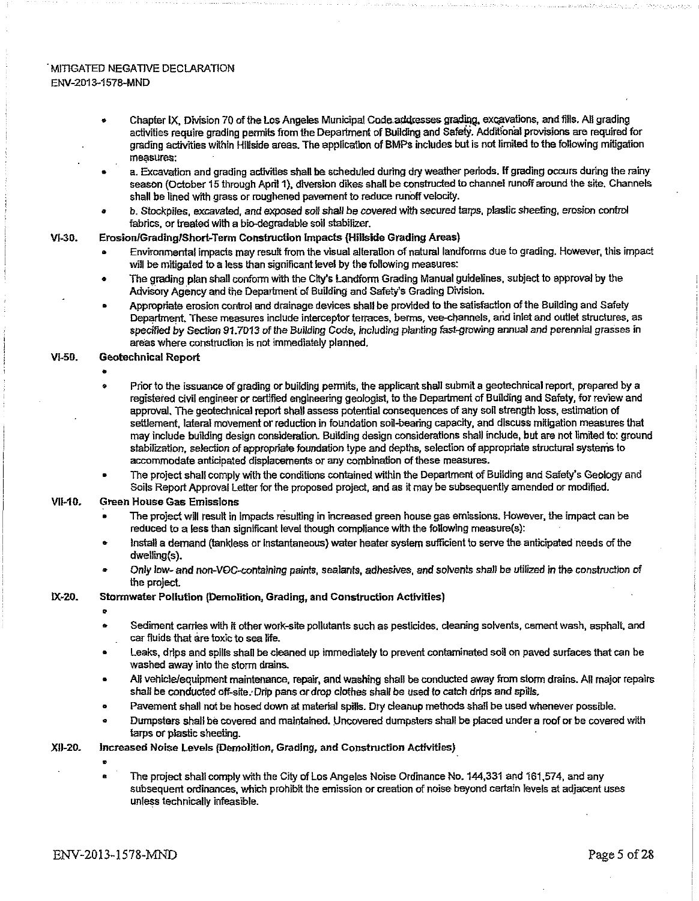#### ' MITIGATED NEGATIVE DECLARATION ENV-2D13-1578-MND

- Chapter IX, Division 70 of the Los Angeles Municipal Code addresses grading, excavations, and fills. All grading activities require grading permits from the Department of Building and Safety. Additional provisions are required for grading activities within Hillside areas. The application ofBMPs includes but is not limited to the following mitigation measures:
- a. Excavation and grading activities shall be scheduled during dry weather periods. If grading occurs during the rainy season (October 15 through April 1), diversion dikes shall be constructed to channel runoff around the site. Channels shall be lined with grass or roughened pavement to reduce runoff velocity.
- b. Stockpiles, excavated, and *exposed sof!* shall be *covered* with secured tarps, plastic sheeting, erosion control fabrics, or treated with a bio-degradable soil stabilizer.

#### VI-30. Erosion/Grading/Short-Term Construction Impacts (Hillside Grading Areas)

- Environmental impacts may result from the visual alteration of natural landforms due to grading. However, this impact will be mitigated to a less than significant level by the following measures:
- The grading plan shall conform with the City's Landform Grading Manual guidelines, subject to approval by the Advisory Agency and the Department of Building and Safety's Grading Division.
- Appropriate erosion control and drainage devices shall be provided to the satisfaction ofthe Building and Safety Department These measures include interceptor terraces, berms, vee-channels, arid inlet and outlet structures, as specified *by Section* 91.7013 of *the Building* Code, including planting last-growing annual and perennial grasses in areas where construction is not immediately planned.

#### VI-50. Geotechnical Report

•

- Prior to the issuance of grading or building permits, the applicant shall submit a geotechnical report, prepared by a registered civil engineer or certified engineering geologist, to the Department of Building and Safety, for review and approval. The geotechnical report shall assess potential consequences of any soil strength loss, estimation of settlement, lateral movement or reduction in foundation soil-bearing capacity, and discuss mitigation measures that may include building design consideration. Building design considerations shall include, but are not limited to: ground stabilization, selection of appropriate foundation type and depths, selection of appropriate structural systems to accommodate anticipated displacements or any combination of these measures.
- The project shall comply with the conditions contained within the Department of Building and Safety's Geology and Soils Report Approval Letter for the proposed project, and as it may be subsequently amended or modified.

#### **VII-10.** Green House Gas Emissions

- The project will result in impacts resulting in increased green house gas emissions. However, the impact can be reduced to a less than significant level though compliance with the following measure(s):
- Install a demand (tankless or instantaneous) water heater system sufficient to serve the anticipated needs of the dweiling(s).
- Only low- and non-VOC-contalnlng paints, sealants, adhesives, and solvents shall be utilized In the construction of the project.

#### 1X-20. Stormwater Pollution (Demolition, Grading, and Construction Activities)

 $\bullet$ 

- Sediment carries with it other work-site pollutants such as pesticides, cleaning solvents, cement wash, asphalt, and . carfluids that are toxic to sea life.
- Leaks, drips and spills shall be cleaned up immediately to prevent contaminated soil on paved surfaces that can be washed away into the storm drains.
- AH vehicle/equipment maintenance, repair, and washing shall be conducted away from storm drains. AH major repairs shall be conducted off-site. Drip pans or drop clothes shall be used to catch drips and spills.
- Pavement shall not be hosed down at material spills. Dry cleanup methods shall be used whenever possible.
- ® Dumpsters shall be covered and maintained. Uncovered dumpsters shall be placed under a roof or be covered with tarps or plastic sheeting.
- XU-20. increased Noise Levels (Demolition, Grading, and Construction Activities)
	-
- The project shall comply with the City of Los Angeles Noise Ordinance No. 144,331 and 161,574, and any subsequent ordinances, which prohibit the emission or creation of noise beyond certain levels at adjacent uses unless technically infeasible.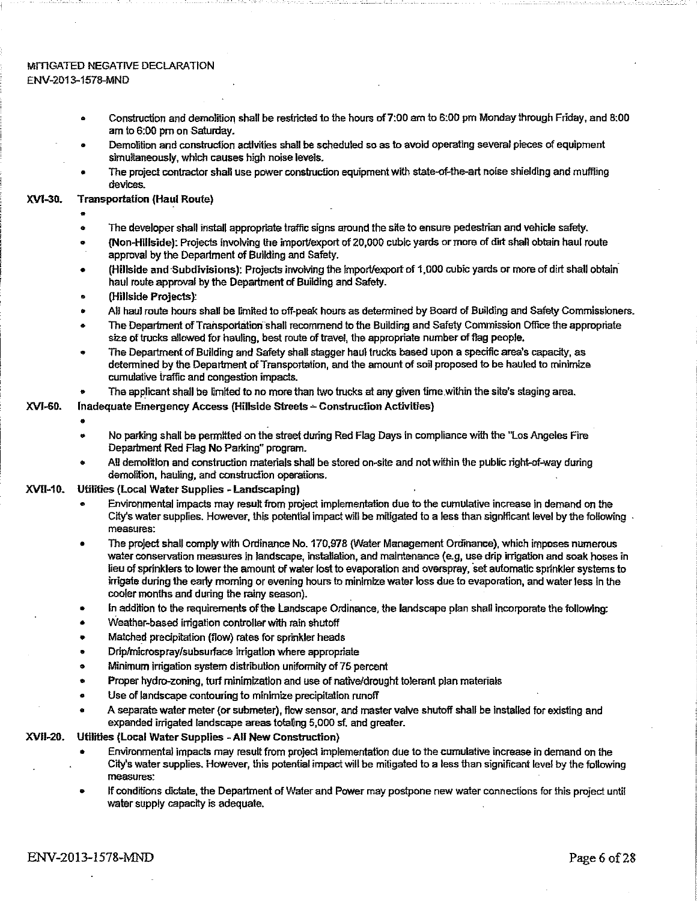#### mitigated negative declaration ENV-2013-1578-MND

- Construction and demolition shall be restricted to the hours of7:00 am to 6:00 pm Monday through Friday, and 8:00 am to 6:00 pm on Saturday.
- Demolition and construction activities shall be scheduled so asto avoid operating several pieces of equipment simultaneously, which causes high noise levels.
- The project contractor shall use power construction equipment with state-of-the-art noise shielding and muffling devices.

#### XVt-30. Transportation (Haul Route) •

- 
- The developer shall install appropriate traffic signs around the site to ensure pedestrian and vehicle safety.
- (Non-Hillside): Projects involving the import/export of 20,000 cubic yards ormore of dirtshall obtain haul route approval by the Department of Building and Safety.
- (Hillside and Subdivisions): Projects involving the importfexport of 1,000 cubic yards or more of dirtshall obtain haul route approval by the Department of Building and Safety.
- ® (Hillside Projects):
- AH haul route hours shall be limited to off-peak hours as determined by Board of Building and Safety Commissioners.
- The Department of Transportation shall recommend to the Building and Safety Commission Office the appropriate size of trucks allowed for hauling, best route of travel, the appropriate number of flag people.
- The Department of Building and Safety shall stagger haul trucks based upon a specific area's capacity, as determined by the Department of Transportation, and the amount of soil proposed to be hauled to minimize cumulative traffic and congestion impacts.
- *»* The applicant shall be limited to no more than two trucks at any given time within the site's staging area.

#### XVI-60. Inadequate Emergency Access (Hillside Streets - Construction Activities)

- 
- No parking shall be permitted on the street during Red Flag Days in compliance with the "Los Angeles Fire Department Red Flag No Parking" program.
- All demolition and construction materials shall be stored on-site and not within the public right-of-way during demolition, hauling, and construction operations. .

#### XVII-10. Utilities (Local Water Supplies - Landscaping)

- Environmental impacts may result from project implementation due to the cumulative increase in demand on the City's water supplies. However, this potential impact will be mitigated to a less than significant level by the following  $\cdot$ measures:
- The project shall complywith Ordinance No. 170,978 {Water Management Ordinance), which imposes numerous water conservation measures in landscape, installation, and maintenance (e.g, use drip irrigation and soak hoses in lieu of sprinklers to lower the amount of water lost to evaporation and overspray, set automatic sprinkler systems to irrigate during the early morning or evening hours to minimize water loss due to evaporation, and water less in the cooler months and during the rainy season).
- In addition to the requirements of the Landscape Ordinance, the landscape plan shall incorporate the following:
- Weather-based irrigation controller with rain shutoff
- Matched precipitation (flow) rates for sprinkler heads
- Drip/microspray/subsurface irrigation where appropriate
- Minimum Irrigation system distribution uniformity of75 percent
- Proper hydro-zoning, turf minimization and use of native/drought tolerant plan materials
- Use of landscape contouring to minimize precipitation runoff
- A separate water meter (or submeter), flow sensor, and master valve shutoff shall be installed for existing and expanded irrigated landscape areas totaling 5,000 sf, and greater.

#### XVII-20. Utilities (Local WaterSupplies - AH New Construction)

- Environmental impacts may result from project implementation due to the cumulative increase in demand on the . City's watersupplies. However, this potential impact will be mitigated to a less than significant level by the following measures:
- If conditions dictate, the Department of Water and Power may postpone new water connections for this project until water supply capacity is adequate.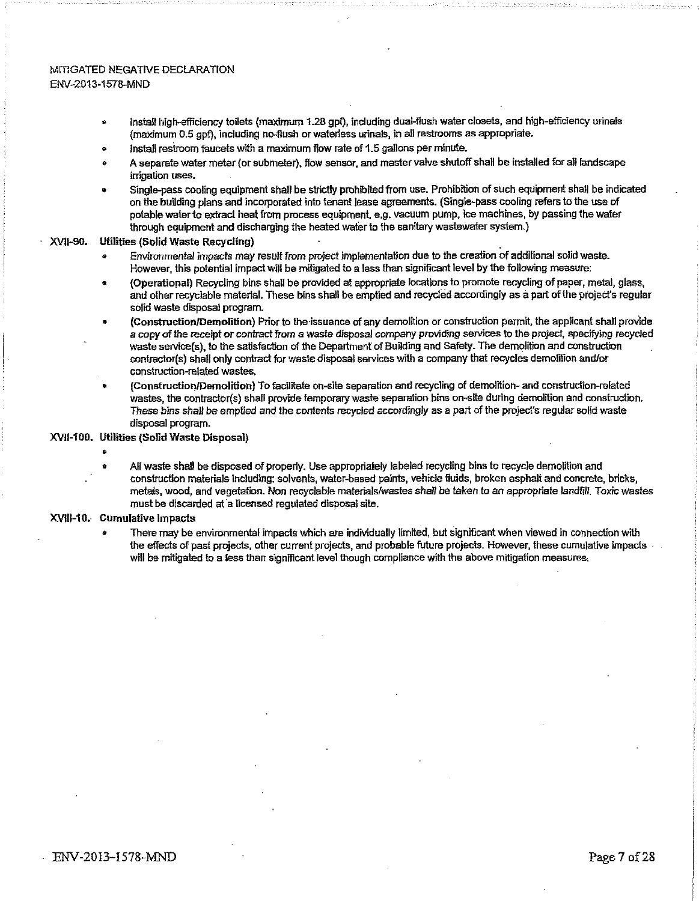#### MITIGATED NEGATIVE DECLARATION ENV-2013-1578-MND

- Install high-efficiency toilets (maximum 1.28 gpf), including dual-flush water closets, and high-efficiency urinais (maximum 0.5 gpf), including no-flush orwaterless urinals, in ail restrooms as appropriate.
- install restroom faucets with a maximum flow rate of 1.5 gallons per minute.
- A separate water meter(orsubmeter), flow sensor, and mastervalve shutoffshall be installed for all landscape irrigation uses.
- Single-pass cooling equipment shall be strictly prohibited from use. Prohibition of such equipment shall be indicated on the building plans and incorporated into tenant lease agreements. (Single-pass cooling refersto the use of potable water to extract heat from process equipment, e.g. vacuum pump, ice machines, by passing the water through equipment and discharging the heated water to the sanitary wastewater system.)

#### XVII-90. Utilities (Solid Waste Recycling) •

- Environmental impacts may result from project implementation due to the creation of additional solid waste. However, this potential impactwill be mitigated to a less than significant level by the following measure:
- (Operational) Recycling bins shall be provided at appropriate locations to promote recycling of paper, metal, glass, and other recyclable material. These bins shall be emptied and recycled accordingly as a part ofthe project's regular solid waste disposal program.
- (Construction/Demolition) Prior to the issuance of any demolition or construction permit, the applicant shall provide a copy of the receipt or contract from a waste disposal company providing services to the project, specifying recycled waste service(s), to the satisfaction of the Department of Building and Safety. The demolition and construction contractor(s) shall only contract for wastedisposal services with a company that recycles demofition and/or construction-related wastes.
- (Construction/Demolition) To facilitate on-site separation and recycling of demolition- and construction-related wastes, the contractor(s) shall provide temporary waste separation bins on-site during demolition and construction. These bins shall be emptied and the contents recycled accordingly as a part of the project's regular solid waste disposal program.

#### XVU-100. Utilities (Solid Waste Disposal)

- e
	- All waste shall be disposed of properly. Use appropriately labeled recycling bins to recycle demolition and .' construction materials including: solvents, water-based paints, vehicle fluids, broken asphalt and concrete, bricks, metals, wood, and vegetation. Non recyclable materials/wastes shall be taken to an appropriate landfill. Toxic wastes must be discarded at a licensed regulated disposal site.

#### XVIII-1Q. Cumulative impacts

There may be environmental impacts which are individually limited, but significant when viewed in connection with the effects of past projects, other current projects, and probable future projects. However, these cumulative impacts will be mitigated to a less than significant level though compliance with the above mitigation measures,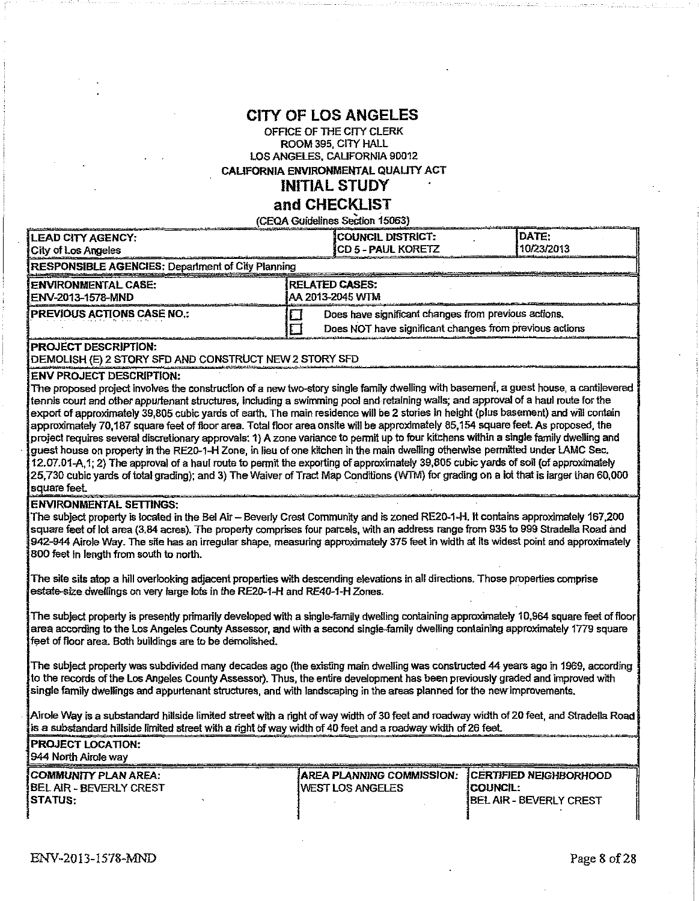# **CITY OF LOS ANGELES**

#### OFFICE OF THE CITY CLERK ROOM 395, CITY HALL LOS ANGELES, CALIFORNIA 90012 CALIFORNIA ENVIRONMENTAL QUAUTY ACT

# **INITIAL STUDY**

# **and CHECKLIST**

(CEQA Guidelines Section 15053) LEAD CITY AGENCY: **COUNCIL DISTRICT:** [DATE: [DATE: [DATE: ]<br>City of Los Angeles [CD 5 - PAUL KORETZ ] 10/23/2013 City of Los Angeles LEAD CITY AGENCY:<br>
City of Los Angeles<br>
RESPONSIBLE AGENCIES: Department of City Planning<br>
RESPONSIBLE AGENCIES: Department of City Planning<br>
ENVIRONMENTAL CASE:<br>
RELATED CASES: ENVIRONMENTAL CASE:<br>ENV-2013-1578-MND<br>AA 2013-2045 WTM ENV-2013-1578-MND **PREVIOUS ACTIONS CASE NO.:**  $\Box$  Does have significant changes from previous actions. Does NOT have significant changes from previous actions PROJECT DESCRIPTION: DEMOLISH (E) 2 STORY SFD AND CONSTRUCT NEW 2 STORY SFD ENV PROJECT DESCRIPTION: The proposed project involves the construction of a new two-story single family dwelling with basement, a guest house, a cantilevered tennis court and other appurtenant structures, including a swimming pool and retaining wails; and approval of a haul route for the export of approximately 39,805 cubic yards of earth. The main residence will be 2 stories in height (plus basement) and will contain approximately 70,187 square feet offloor area. Total floor area onsite will be approximately 85,154 square feet. As proposed, the project requires several discretionary approvals: 1) A zone variance to permit up to four kitchens within a single family dwelling and guest house on property in the RE20-1-H Zone, in lieu of one kitchen in the main dwelling otherwise permitted under LAMC Sec. 12.07.01-A.1; 2) The approval of a haul route to permit the exporting of approximately 39,805 cubic yards ofsoil (of approximately 25,730 cubic yards oftotal grading); and 3) TheWaiver ofTract Map Conditions (WTM) for grading on a ioi that isiargerihan 60,000 square feet.

#### ENVIRONMENTAL SETTINGS:

The subject property is located in the Bel Air—Beverly Crest Community and is zoned RE20-1-H. it contains approximately 167,200 square feet of lot area (3.84 acres). The property comprises four parcels, with an address range from 935 to 999 Stradella Road and 942-944 Airole Way. The site has an irregular shape, measuring approximately 375 feet in width at its widest point and approximately 800feet in length from south to north.

The site sits atop a hill overlooking adjacent properties with descending elevations in all directions. Those properties comprise estate-size dwellings on very large tots in the RE2Q-1-H and RE40-1-H Zones.

The subject property is presently primarily developed with a single-family dwelling containing approximately 10,964 square feet offloor area according to the LosAngeles County Assessor, and with a second singie-family dwelling containing approximately 1779 square feet of floor area. Both buildings are to be demolished.

The subject property was subdivided many decades ago (the existing main dwelling was constructed 44 years ago in 1969, according to the records of the Los Angeles County Assessor). Thus, the entire development has been previously graded and improved with singie family dwellings and appurtenant structures, and with landscaping in the areas planned for the newimprovements.

Airole Way is a substandard hillside limited streetwith a right ofwaywidth of 30 feet and roadway width of 20 feet, and Stradelta Road is a substandard hillside limited street with a right Of way width of 40 feet and a roadway width of <sup>26</sup> feet.

| <u> An an Aire ann an Aonaich ann an Aonaich ann an am an an an Aonaich ann an Aonaich ann an am an an an Aonaich</u> |                                                    |                  |
|-----------------------------------------------------------------------------------------------------------------------|----------------------------------------------------|------------------|
| <b>PROJECT LOCATION:</b>                                                                                              |                                                    |                  |
| 1944 North Airole wav                                                                                                 |                                                    |                  |
| COMMUNITY PLAN AREA:                                                                                                  | IAREA PLANNING COMMISSION: ICERTIFIED NEIGHBORHOOD |                  |
| <b>IBEL AIR - BEVERLY CREST</b>                                                                                       | <b>IVEST LOS ANGELES</b>                           | <b>ICOUNCIL:</b> |

BEL AiR - BEVERLY CREST STATUS:

BEL AIR - BEVERLY CREST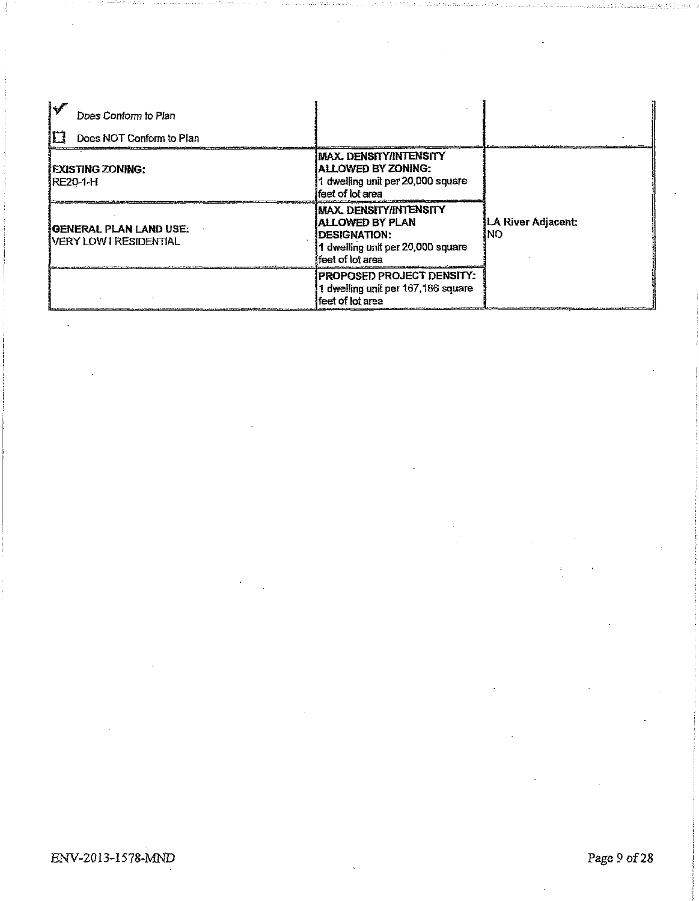| كودة<br>Does Conform to Plan<br>Does NOT Conform to Plan |                                                                                                                              |                           |
|----------------------------------------------------------|------------------------------------------------------------------------------------------------------------------------------|---------------------------|
| <b>IEXISTING ZONING:</b><br>IRE20-1-H                    | IMAX. DENSITY/INTENSITY<br>ALLOWED BY ZONING:<br>1 dwelling unit per 20,000 square<br>lfeet of lot area                      |                           |
| IGENERAL PLAN LAND USE:<br>IVERY LOW I RESIDENTIAL       | IMAX. DENSITY/INTENSITY<br>ALLOWED BY PLAN<br><b>IDESIGNATION:</b><br>1 dwelling unit per 20,000 square<br>ifeet of lot area | LA River Adjacent:<br>INO |
|                                                          | IPROPOSED PROJECT DENSITY:<br>1 dwelling unit per 167,186 square<br>ffeet of lot area                                        |                           |

 $\bar{z}$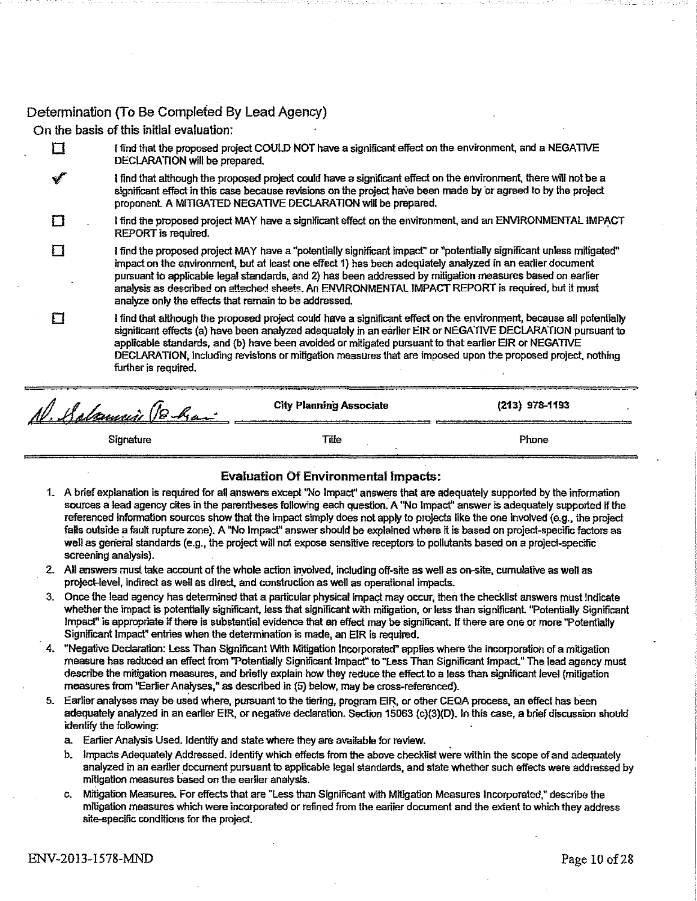# Determination (To Be Completed By Lead Agency)

On the basis of this initial evaluation:

 $\boldsymbol{\Pi}$ 

Cl I find that the proposed project COULD NOT have a significant effect on the environment, and a NEGATIVE DECLARATION will be prepared.

*yT* l find that although the proposed project could have a significant effect on the environment, there wifi not be a significant effect in this case because revisions on file project have been made by or agreed to by the project proponent A MITIGATED NEGATIVE DECLARATION will be prepared.

FI . <sup>I</sup> find the proposed project MAY have a significant effect on the environment, and an ENVIRONMENTAL IMPACT REPORT is required.

<sup>I</sup> find the proposed project MAY have a ''potentially significant impact" or "potentially significant unless mitigated" impact on the environment, but at least one effect 1) has been adequately analyzed In an earlier document pursuant to applicable legal standards, and 2) has been addressed by mitigation measures based on earlier analysis as described on attached sheets. An ENVIRONMENTAL IMPACT REPORT is required, but it must analyze only the effects that remain to be addressed.

#### I find that although the proposed project could have a significant effect on the environment, because all potentially F٦ significant effects (a) have been analyzed adequately in an earlier EIR or NEGATIVE DECLARATION pursuant to applicable standards, and (b) have been avoided or mitigated pursuant to that earlier EIR or NEGATIVE DECLARATION, including revisions or mitigation measures that are imposed upon the proposed project, nothing further is required.

| N. Salamin Bhai | <b>City Planning Associate</b> | $(213)$ 978-1193 |
|-----------------|--------------------------------|------------------|
| Signature       | Tille                          | Phone            |

### Evaluation Of Environmental impacts:

- 1. A brief explanation is required for all answers except ''No Impact" answers that are adequately supported by the information sources a lead agency cites in the parentheses following each question. A "No Impact" answer is adequately supported if the referenced information sources show that the impact simply does not apply to projects like the one involved (e.g., the project falls outside a fault rupture zone). A 'No Impact" answershould be explained where it is based on project-specific factors as well as general standards (e.g., the project will not expose sensitive receptors to pollutants based on a project-specific screening analysis).
- 2. All answers must take account of the whole action involved, including off-site as well as on-site, cumulative as well as project-level, indirect as well as direct, and construction as well as. operational impacts.
- 3. Once the lead agency has determined that a particular physical impact may occur, then the checklist answers must indicate whether the impact is potentially significant, less that significant with mitigation, or less than significant. "Potentially Significant Impact" is appropriate *if*there is substantial evidence that an effect may be significant If there are one or more "Potentially Significant Impact" entries when the determination is made, an EIR is required.
- 4. "Negative Declaration: Less Than Significant With Mitigation Incorporated" applies where the incorporation of a mitigation measure has reduced an effect from "Potentially Significant Impact" to "Less Than Significant Impact." The lead agency must describe the mitigation measures, and briefly explain how they reduce the effect to a less than significant level (mitigation measures from "Earlier Analyses," as described in (5) below, may be cross-referenced).
- 5. Earlier analyses may be used where, pursuant to the tiering, program EIR, or other CEQA process, an effect has been adequately analyzed in an earlier EIR, or negative declaration. Section 15063 (c)(3)(D). In this case, a brief discussion should identify the following:
	- a. Earlier Analysis Used. Identify and state where they are available for review.
	- b. Impacts Adequately Addressed, Identify which effects from the above checklist were within the scope of and adequately analyzed in an earlier document pursuant to applicable legal standards, and state whether such effects were addressed by mitigation measures based on the earlier analysts.
	- c. Mitigation Measures. For effects that are "Less than Significant with Mitigation Measures Incorporated," describe the mitigation measures which were incorporated or refined from the eariier document and the extent to which they address site-specific conditions for the project.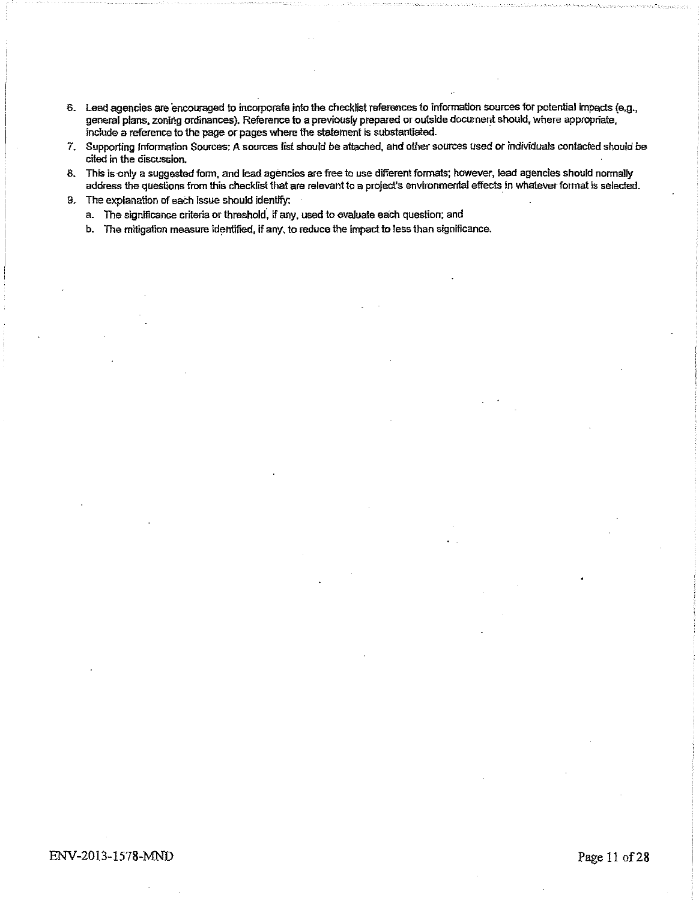- 6. Lead agencies are encouraged to incorporate into the checklist references to information sources for potential impacts (e.g., general plans, zoning ordinances). Reference to a previously prepared or outside documentshould, where appropriate, include a reference to the page or pages where die statement is substantiated.
- *7.* Supporting Information Sources: A sources list should be attached, and othersources used or individuals contacted should be cited in the discussion.
- 8. This is only a suggested form, and lead agencies are free to use different formats; however, lead agenciesshould normally address the questions from this checklist that are relevant to a project's environmental effects in whatever format is selected.
- 9. The explanation of each issue should identify:
	- a. The significance criteria or threshold, if any, used to evaluate each question; and
	- b. The mitigation measure identified, if any, to reduce the impact to less than significance.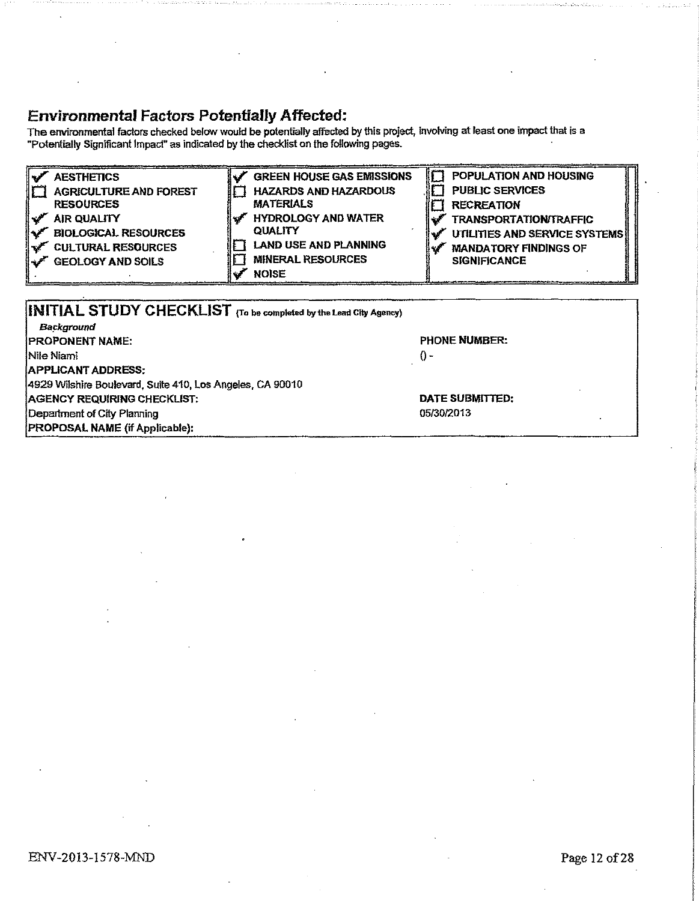# **Environmental Factors Potentially Affected;**

The environmental factors checked belowwould be potentially affected by this project, Involving at least one impact that is a "Potentially Significant Impact" as indicated by the checklist on the following pages. •

| POPULATION AND HOUSING<br><b>GREEN HOUSE GAS EMISSIONS</b><br><b>AESTHETICS</b><br><b>PUBLIC SERVICES</b><br><b>HAZARDS AND HAZARDOUS</b><br><b>AGRICULTURE AND FOREST</b><br><b>MATERIALS</b><br><b>RESOURCES</b><br><b>RECREATION</b><br><b>HYDROLOGY AND WATER</b><br><b>AIR QUALITY</b><br><b>TRANSPORTATION/TRAFFIC</b><br><b>QUALITY</b><br><b>BIOLOGICAL RESOURCES</b><br>UTILITIES AND SERVICE SYSTEMS<br><b>LAND USE AND PLANNING</b><br><b>CULTURAL RESOURCES</b><br><b>MANDATORY FINDINGS OF</b><br><b>MINERAL RESOURCES</b><br><b>SIGNIFICANCE</b><br><b>GEOLOGY AND SOILS</b><br><b>NOISE</b> |
|------------------------------------------------------------------------------------------------------------------------------------------------------------------------------------------------------------------------------------------------------------------------------------------------------------------------------------------------------------------------------------------------------------------------------------------------------------------------------------------------------------------------------------------------------------------------------------------------------------|
|------------------------------------------------------------------------------------------------------------------------------------------------------------------------------------------------------------------------------------------------------------------------------------------------------------------------------------------------------------------------------------------------------------------------------------------------------------------------------------------------------------------------------------------------------------------------------------------------------------|

| <b>INITIAL STUDY CHECKLIST</b> (To be completed by the Lead City Agency) |                      |  |  |  |
|--------------------------------------------------------------------------|----------------------|--|--|--|
| Background                                                               |                      |  |  |  |
| <b>IPROPONENT NAME:</b>                                                  | <b>PHONE NUMBER:</b> |  |  |  |
| <b>INile Niami</b>                                                       | $() -$               |  |  |  |
| <b>APPLICANT ADDRESS:</b>                                                |                      |  |  |  |
| [4929 Wilshire Boulevard, Suite 410, Los Angeles, CA 90010               |                      |  |  |  |
| AGENCY REQUIRING CHECKLIST:                                              | DATE SUBMITTED:      |  |  |  |
| Department of City Planning                                              | 05/30/2013           |  |  |  |
| PROPOSAL NAME (if Applicable):                                           |                      |  |  |  |